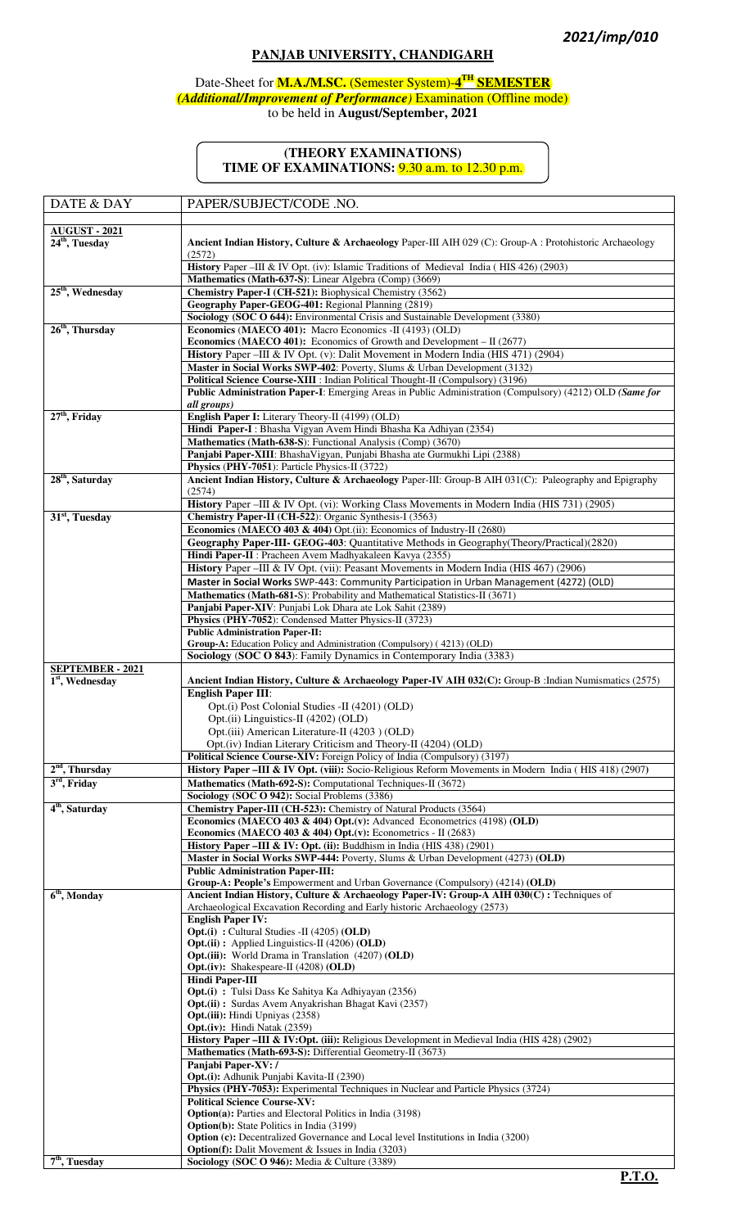## **PANJAB UNIVERSITY, CHANDIGARH**

#### Date-Sheet for **M.A./M.SC.** (Semester System)-**4 TH SEMESTER** *(Additional/Improvement of Performance)* Examination (Offline mode) to be held in **August/September, 2021**

### **(THEORY EXAMINATIONS) TIME OF EXAMINATIONS:** 9.30 a.m. to 12.30 p.m.

| DATE & DAY                   | PAPER/SUBJECT/CODE .NO.                                                                                                                                                   |
|------------------------------|---------------------------------------------------------------------------------------------------------------------------------------------------------------------------|
| <b>AUGUST - 2021</b>         |                                                                                                                                                                           |
| $24th$ , Tuesday             | Ancient Indian History, Culture & Archaeology Paper-III AIH 029 (C): Group-A : Protohistoric Archaeology<br>(2572)                                                        |
|                              | History Paper - III & IV Opt. (iv): Islamic Traditions of Medieval India (HIS 426) (2903)                                                                                 |
| 25 <sup>th</sup> , Wednesday | Mathematics (Math-637-S): Linear Algebra (Comp) (3669)<br>Chemistry Paper-I (CH-521): Biophysical Chemistry (3562)                                                        |
|                              | Geography Paper-GEOG-401: Regional Planning (2819)                                                                                                                        |
|                              | Sociology (SOC O 644): Environmental Crisis and Sustainable Development (3380)                                                                                            |
| $26th$ , Thursday            | Economics (MAECO 401): Macro Economics -II (4193) (OLD)                                                                                                                   |
|                              | <b>Economics (MAECO 401):</b> Economics of Growth and Development $-$ II (2677)<br>History Paper -III & IV Opt. (v): Dalit Movement in Modern India (HIS 471) (2904)      |
|                              | Master in Social Works SWP-402: Poverty, Slums & Urban Development (3132)                                                                                                 |
|                              | Political Science Course-XIII : Indian Political Thought-II (Compulsory) (3196)                                                                                           |
|                              | Public Administration Paper-I: Emerging Areas in Public Administration (Compulsory) (4212) OLD (Same for                                                                  |
| $27th$ , Friday              | all groups)<br>English Paper I: Literary Theory-II (4199) (OLD)                                                                                                           |
|                              | Hindi Paper-I: Bhasha Vigyan Avem Hindi Bhasha Ka Adhiyan (2354)                                                                                                          |
|                              | Mathematics (Math-638-S): Functional Analysis (Comp) (3670)                                                                                                               |
|                              | Panjabi Paper-XIII: BhashaVigyan, Punjabi Bhasha ate Gurmukhi Lipi (2388)                                                                                                 |
|                              | Physics (PHY-7051): Particle Physics-II (3722)                                                                                                                            |
| 28 <sup>th</sup> , Saturday  | Ancient Indian History, Culture & Archaeology Paper-III: Group-B AIH 031(C): Paleography and Epigraphy<br>(2574)                                                          |
|                              | History Paper -III & IV Opt. (vi): Working Class Movements in Modern India (HIS 731) (2905)                                                                               |
| 31 <sup>st</sup> , Tuesday   | Chemistry Paper-II (CH-522): Organic Synthesis-I (3563)                                                                                                                   |
|                              | Economics (MAECO 403 & 404) Opt.(ii): Economics of Industry-II (2680)                                                                                                     |
|                              | Geography Paper-III- GEOG-403: Quantitative Methods in Geography (Theory/Practical) (2820)<br>Hindi Paper-II : Pracheen Avem Madhyakaleen Kavya (2355)                    |
|                              | History Paper - III & IV Opt. (vii): Peasant Movements in Modern India (HIS 467) (2906)                                                                                   |
|                              | Master in Social Works SWP-443: Community Participation in Urban Management (4272) (OLD)                                                                                  |
|                              | Mathematics (Math-681-S): Probability and Mathematical Statistics-II (3671)                                                                                               |
|                              | Panjabi Paper-XIV: Punjabi Lok Dhara ate Lok Sahit (2389)                                                                                                                 |
|                              | Physics (PHY-7052): Condensed Matter Physics-II (3723)<br><b>Public Administration Paper-II:</b>                                                                          |
|                              | Group-A: Education Policy and Administration (Compulsory) (4213) (OLD)                                                                                                    |
|                              | Sociology (SOC O 843): Family Dynamics in Contemporary India (3383)                                                                                                       |
| <b>SEPTEMBER - 2021</b>      |                                                                                                                                                                           |
| $1st$ , Wednesday            | Ancient Indian History, Culture & Archaeology Paper-IV AIH 032(C): Group-B : Indian Numismatics (2575)<br><b>English Paper III:</b>                                       |
|                              | Opt.(i) Post Colonial Studies -II (4201) (OLD)                                                                                                                            |
|                              | Opt.(ii) Linguistics-II (4202) (OLD)                                                                                                                                      |
|                              | Opt.(iii) American Literature-II (4203) (OLD)                                                                                                                             |
|                              | Opt.(iv) Indian Literary Criticism and Theory-II (4204) (OLD)<br>Political Science Course-XIV: Foreign Policy of India (Compulsory) (3197)                                |
| $2nd$ , Thursday             | History Paper –III & IV Opt. (viii): Socio-Religious Reform Movements in Modern India (HIS 418) (2907)                                                                    |
| $3rd$ , Friday               | Mathematics (Math-692-S): Computational Techniques-II (3672)                                                                                                              |
|                              | Sociology (SOC O 942): Social Problems (3386)                                                                                                                             |
| 4 <sup>th</sup> , Saturday   | Chemistry Paper-III (CH-523): Chemistry of Natural Products (3564)                                                                                                        |
|                              | Economics (MAECO 403 & 404) Opt.(v): Advanced Econometrics (4198) (OLD)<br>Economics (MAECO 403 & 404) Opt.(v): Econometrics - II (2683)                                  |
|                              | <b>History Paper – III &amp; IV: Opt. (ii):</b> Buddhism in India (HIS 438) (2901)                                                                                        |
|                              | Master in Social Works SWP-444: Poverty, Slums & Urban Development (4273) (OLD)                                                                                           |
|                              | <b>Public Administration Paper-III:</b>                                                                                                                                   |
| 6 <sup>th</sup> , Monday     | Group-A: People's Empowerment and Urban Governance (Compulsory) (4214) (OLD)<br>Ancient Indian History, Culture & Archaeology Paper-IV: Group-A AIH 030(C): Techniques of |
|                              | Archaeological Excavation Recording and Early historic Archaeology (2573)                                                                                                 |
|                              | <b>English Paper IV:</b>                                                                                                                                                  |
|                              | <b>Opt.(i)</b> : Cultural Studies -II (4205) (OLD)<br><b>Opt.(ii)</b> : Applied Linguistics-II (4206) ( <b>OLD</b> )                                                      |
|                              | <b>Opt.</b> (iii): World Drama in Translation (4207) (OLD)                                                                                                                |
|                              | <b>Opt.</b> (iv): Shakespeare-II $(4208)$ (OLD)                                                                                                                           |
|                              | <b>Hindi Paper-III</b>                                                                                                                                                    |
|                              | <b>Opt.(i)</b> : Tulsi Dass Ke Sahitya Ka Adhiyayan (2356)<br>Opt.(ii): Surdas Avem Anyakrishan Bhagat Kavi (2357)                                                        |
|                              | <b>Opt.</b> (iii): Hindi Upniyas (2358)                                                                                                                                   |
|                              | <b>Opt.</b> (iv): Hindi Natak (2359)                                                                                                                                      |
|                              | History Paper -III & IV:Opt. (iii): Religious Development in Medieval India (HIS 428) (2902)<br>Mathematics (Math-693-S): Differential Geometry-II (3673)                 |
|                              | Panjabi Paper-XV: /                                                                                                                                                       |
|                              | <b>Opt.</b> (i): Adhunik Punjabi Kavita-II (2390)                                                                                                                         |
|                              | Physics (PHY-7053): Experimental Techniques in Nuclear and Particle Physics (3724)                                                                                        |
|                              | <b>Political Science Course-XV:</b><br><b>Option(a):</b> Parties and Electoral Politics in India (3198)                                                                   |
|                              | <b>Option(b):</b> State Politics in India (3199)                                                                                                                          |
|                              | <b>Option (c):</b> Decentralized Governance and Local level Institutions in India (3200)                                                                                  |
| $7th$ , Tuesday              | <b>Option(f):</b> Dalit Movement & Issues in India (3203)<br>Sociology (SOC O 946): Media & Culture (3389)                                                                |
|                              |                                                                                                                                                                           |